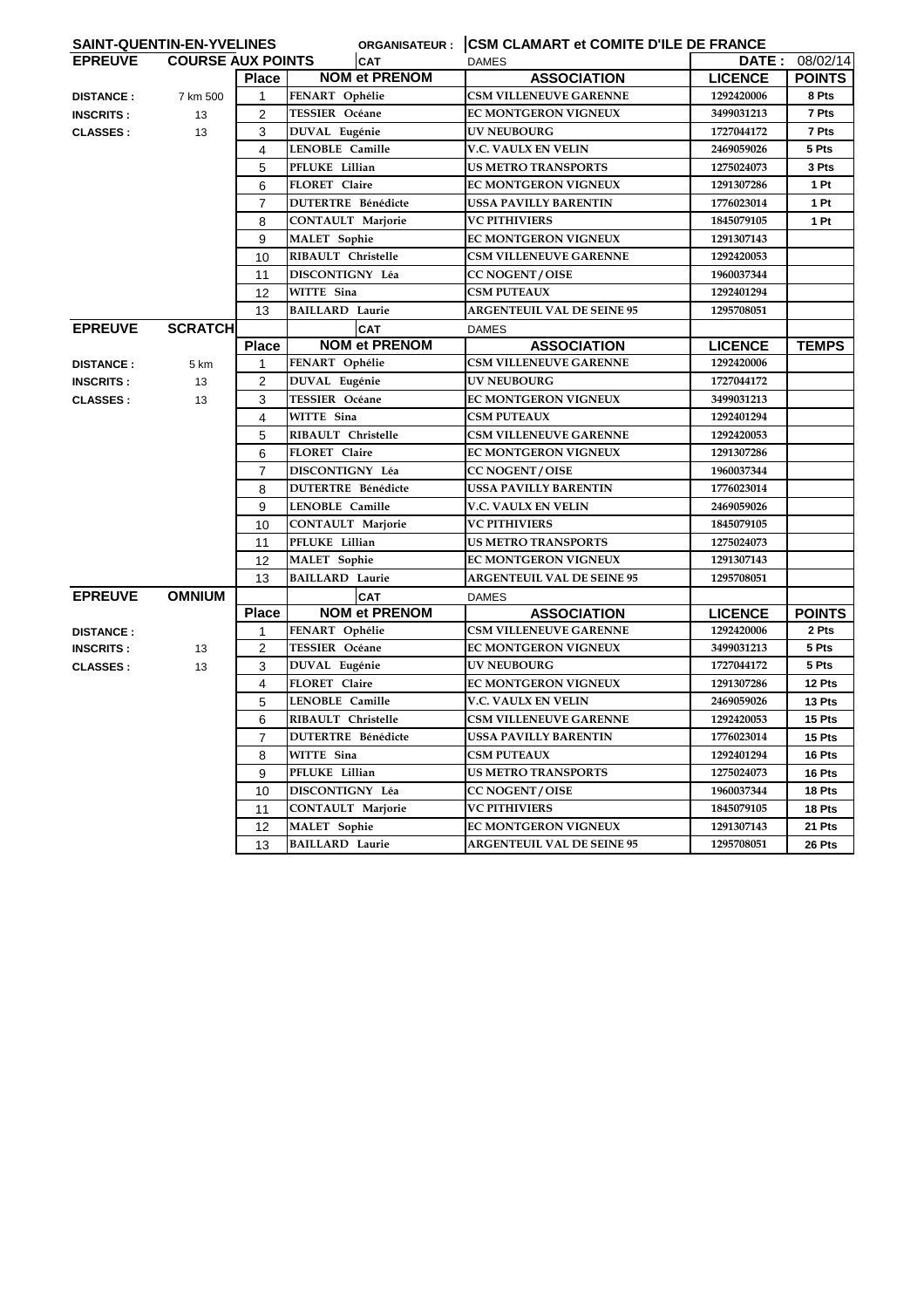|                  | SAINT-QUENTIN-EN-YVELINES |                |                           |                                   | ORGANISATEUR : CSM CLAMART et COMITE D'ILE DE FRANCE |               |  |  |
|------------------|---------------------------|----------------|---------------------------|-----------------------------------|------------------------------------------------------|---------------|--|--|
| <b>EPREUVE</b>   | <b>COURSE AUX POINTS</b>  |                | <b>CAT</b>                | <b>DAMES</b>                      | <b>DATE :</b>                                        | 08/02/14      |  |  |
|                  |                           | <b>Place</b>   | <b>NOM et PRENOM</b>      | <b>ASSOCIATION</b>                | <b>LICENCE</b>                                       | <b>POINTS</b> |  |  |
| <b>DISTANCE:</b> | 7 km 500                  | $\mathbf{1}$   | FENART Ophélie            | <b>CSM VILLENEUVE GARENNE</b>     | 1292420006                                           | 8 Pts         |  |  |
| <b>INSCRITS:</b> | 13                        | $\overline{2}$ | TESSIER Océane            | EC MONTGERON VIGNEUX              | 3499031213                                           | 7 Pts         |  |  |
| <b>CLASSES:</b>  | 13                        | 3              | DUVAL Eugénie             | <b>UV NEUBOURG</b>                | 1727044172                                           | 7 Pts         |  |  |
|                  |                           | 4              | <b>LENOBLE Camille</b>    | V.C. VAULX EN VELIN               | 2469059026                                           | 5 Pts         |  |  |
|                  |                           | 5              | PFLUKE Lillian            | <b>US METRO TRANSPORTS</b>        | 1275024073                                           | 3 Pts         |  |  |
|                  |                           | 6              | FLORET Claire             | <b>EC MONTGERON VIGNEUX</b>       | 1291307286                                           | 1 Pt          |  |  |
|                  |                           | $\overline{7}$ | <b>DUTERTRE Bénédicte</b> | <b>USSA PAVILLY BARENTIN</b>      | 1776023014                                           | 1 Pt          |  |  |
|                  |                           | 8              | CONTAULT Marjorie         | <b>VC PITHIVIERS</b>              | 1845079105                                           | 1 Pt          |  |  |
|                  |                           | 9              | <b>MALET</b> Sophie       | EC MONTGERON VIGNEUX              | 1291307143                                           |               |  |  |
|                  |                           | 10             | RIBAULT Christelle        | <b>CSM VILLENEUVE GARENNE</b>     | 1292420053                                           |               |  |  |
|                  |                           | 11             | DISCONTIGNY Léa           | <b>CC NOGENT / OISE</b>           | 1960037344                                           |               |  |  |
|                  |                           | 12             | WITTE Sina                | <b>CSM PUTEAUX</b>                | 1292401294                                           |               |  |  |
|                  |                           | 13             | <b>BAILLARD Laurie</b>    | <b>ARGENTEUIL VAL DE SEINE 95</b> | 1295708051                                           |               |  |  |
| <b>EPREUVE</b>   | <b>SCRATCH</b>            |                | <b>CAT</b>                | <b>DAMES</b>                      |                                                      |               |  |  |
|                  |                           | <b>Place</b>   | <b>NOM et PRENOM</b>      | <b>ASSOCIATION</b>                | <b>LICENCE</b>                                       | <b>TEMPS</b>  |  |  |
| <b>DISTANCE:</b> | 5 km                      | $\mathbf{1}$   | FENART Ophélie            | <b>CSM VILLENEUVE GARENNE</b>     | 1292420006                                           |               |  |  |
| <b>INSCRITS:</b> | 13                        | 2              | DUVAL Eugénie             | <b>UV NEUBOURG</b>                | 1727044172                                           |               |  |  |
| <b>CLASSES:</b>  | 13                        | 3              | <b>TESSIER Océane</b>     | EC MONTGERON VIGNEUX              | 3499031213                                           |               |  |  |
|                  |                           | 4              | WITTE Sina                | <b>CSM PUTEAUX</b>                | 1292401294                                           |               |  |  |
|                  |                           | 5              | RIBAULT Christelle        | <b>CSM VILLENEUVE GARENNE</b>     | 1292420053                                           |               |  |  |
|                  |                           | 6              | FLORET Claire             | EC MONTGERON VIGNEUX              | 1291307286                                           |               |  |  |
|                  |                           | $\overline{7}$ | DISCONTIGNY Léa           | <b>CC NOGENT / OISE</b>           | 1960037344                                           |               |  |  |
|                  |                           | 8              | <b>DUTERTRE Bénédicte</b> | <b>USSA PAVILLY BARENTIN</b>      | 1776023014                                           |               |  |  |
|                  |                           | 9              | <b>LENOBLE Camille</b>    | V.C. VAULX EN VELIN               | 2469059026                                           |               |  |  |
|                  |                           | 10             | <b>CONTAULT Marjorie</b>  | <b>VC PITHIVIERS</b>              | 1845079105                                           |               |  |  |
|                  |                           | 11             | PFLUKE Lillian            | <b>US METRO TRANSPORTS</b>        | 1275024073                                           |               |  |  |
|                  |                           | 12             | <b>MALET</b> Sophie       | <b>EC MONTGERON VIGNEUX</b>       | 1291307143                                           |               |  |  |
|                  |                           | 13             | <b>BAILLARD Laurie</b>    | <b>ARGENTEUIL VAL DE SEINE 95</b> | 1295708051                                           |               |  |  |
| <b>EPREUVE</b>   | <b>OMNIUM</b>             |                | <b>CAT</b>                | <b>DAMES</b>                      |                                                      |               |  |  |
|                  |                           | <b>Place</b>   | <b>NOM et PRENOM</b>      | <b>ASSOCIATION</b>                | <b>LICENCE</b>                                       | <b>POINTS</b> |  |  |
| <b>DISTANCE:</b> |                           | $\mathbf{1}$   | FENART Ophélie            | <b>CSM VILLENEUVE GARENNE</b>     | 1292420006                                           | 2 Pts         |  |  |
| <b>INSCRITS:</b> | 13                        | $\overline{2}$ | TESSIER Océane            | EC MONTGERON VIGNEUX              | 3499031213                                           | 5 Pts         |  |  |
| <b>CLASSES:</b>  | 13                        | 3              | DUVAL Eugénie             | <b>UV NEUBOURG</b>                | 1727044172                                           | 5 Pts         |  |  |
|                  |                           | 4              | FLORET Claire             | EC MONTGERON VIGNEUX              | 1291307286                                           | 12 Pts        |  |  |
|                  |                           | 5              | LENOBLE Camille           | V.C. VAULX EN VELIN               | 2469059026                                           | 13 Pts        |  |  |
|                  |                           | 6              | RIBAULT Christelle        | <b>CSM VILLENEUVE GARENNE</b>     | 1292420053                                           | 15 Pts        |  |  |
|                  |                           | $\overline{7}$ | <b>DUTERTRE Bénédicte</b> | <b>USSA PAVILLY BARENTIN</b>      | 1776023014                                           | 15 Pts        |  |  |
|                  |                           | 8              | WITTE Sina                | <b>CSM PUTEAUX</b>                | 1292401294                                           | 16 Pts        |  |  |
|                  |                           | 9              | PFLUKE Lillian            | <b>US METRO TRANSPORTS</b>        | 1275024073                                           | 16 Pts        |  |  |
|                  |                           | 10             | DISCONTIGNY Léa           | <b>CC NOGENT / OISE</b>           | 1960037344                                           | 18 Pts        |  |  |
|                  |                           | 11             | <b>CONTAULT Marjorie</b>  | <b>VC PITHIVIERS</b>              | 1845079105                                           | 18 Pts        |  |  |
|                  |                           | 12             | <b>MALET</b> Sophie       | EC MONTGERON VIGNEUX              | 1291307143                                           | 21 Pts        |  |  |
|                  |                           | 13             | <b>BAILLARD Laurie</b>    | <b>ARGENTEUIL VAL DE SEINE 95</b> | 1295708051                                           | 26 Pts        |  |  |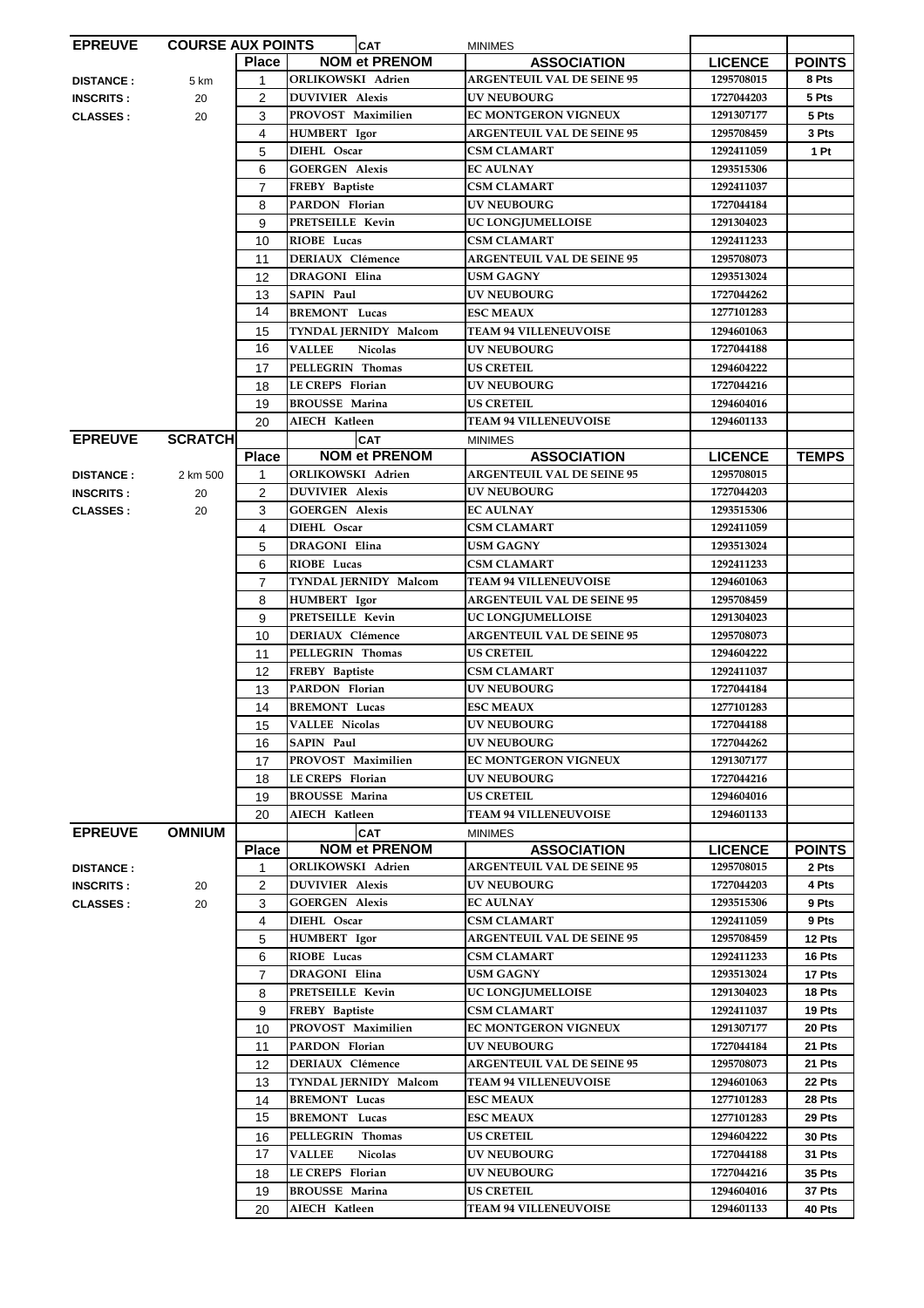| <b>EPREUVE</b>   | <b>COURSE AUX POINTS</b> |                | <b>CAT</b>                      | <b>MINIMES</b>                    |                |               |
|------------------|--------------------------|----------------|---------------------------------|-----------------------------------|----------------|---------------|
|                  |                          | <b>Place</b>   | <b>NOM et PRENOM</b>            | <b>ASSOCIATION</b>                | <b>LICENCE</b> | <b>POINTS</b> |
| <b>DISTANCE:</b> | 5 km                     | $\mathbf{1}$   | <b>ORLIKOWSKI Adrien</b>        | <b>ARGENTEUIL VAL DE SEINE 95</b> | 1295708015     | 8 Pts         |
| <b>INSCRITS:</b> | 20                       | $\overline{2}$ | <b>DUVIVIER Alexis</b>          | <b>UV NEUBOURG</b>                | 1727044203     | 5 Pts         |
|                  |                          | 3              | PROVOST Maximilien              | <b>EC MONTGERON VIGNEUX</b>       | 1291307177     | 5 Pts         |
| <b>CLASSES:</b>  | 20                       |                |                                 |                                   |                |               |
|                  |                          | 4              | <b>HUMBERT</b> Igor             | <b>ARGENTEUIL VAL DE SEINE 95</b> | 1295708459     | 3 Pts         |
|                  |                          | 5              | DIEHL Oscar                     | <b>CSM CLAMART</b>                | 1292411059     | 1 Pt          |
|                  |                          | 6              | <b>GOERGEN Alexis</b>           | <b>EC AULNAY</b>                  | 1293515306     |               |
|                  |                          | $\overline{7}$ | FREBY Baptiste                  | <b>CSM CLAMART</b>                | 1292411037     |               |
|                  |                          | 8              | PARDON Florian                  | UV NEUBOURG                       | 1727044184     |               |
|                  |                          | 9              | PRETSEILLE Kevin                | UC LONGJUMELLOISE                 | 1291304023     |               |
|                  |                          | 10             | RIOBE Lucas                     | <b>CSM CLAMART</b>                | 1292411233     |               |
|                  |                          |                |                                 |                                   |                |               |
|                  |                          | 11             | <b>DERIAUX Clémence</b>         | <b>ARGENTEUIL VAL DE SEINE 95</b> | 1295708073     |               |
|                  |                          | 12             | <b>DRAGONI Elina</b>            | <b>USM GAGNY</b>                  | 1293513024     |               |
|                  |                          | 13             | <b>SAPIN Paul</b>               | <b>UV NEUBOURG</b>                | 1727044262     |               |
|                  |                          | 14             | <b>BREMONT</b> Lucas            | <b>ESC MEAUX</b>                  | 1277101283     |               |
|                  |                          | 15             | TYNDAL JERNIDY Malcom           | <b>TEAM 94 VILLENEUVOISE</b>      | 1294601063     |               |
|                  |                          | 16             | <b>VALLEE</b><br><b>Nicolas</b> | <b>UV NEUBOURG</b>                | 1727044188     |               |
|                  |                          |                | PELLEGRIN Thomas                | <b>US CRETEIL</b>                 |                |               |
|                  |                          | 17             |                                 |                                   | 1294604222     |               |
|                  |                          | 18             | <b>LE CREPS</b> Florian         | <b>UV NEUBOURG</b>                | 1727044216     |               |
|                  |                          | 19             | <b>BROUSSE Marina</b>           | <b>US CRETEIL</b>                 | 1294604016     |               |
|                  |                          | 20             | AIECH Katleen                   | <b>TEAM 94 VILLENEUVOISE</b>      | 1294601133     |               |
| <b>EPREUVE</b>   | <b>SCRATCHI</b>          |                | <b>CAT</b>                      | <b>MINIMES</b>                    |                |               |
|                  |                          | <b>Place</b>   | <b>NOM et PRENOM</b>            | <b>ASSOCIATION</b>                | <b>LICENCE</b> | <b>TEMPS</b>  |
| <b>DISTANCE:</b> | 2 km 500                 | 1              | ORLIKOWSKI Adrien               | <b>ARGENTEUIL VAL DE SEINE 95</b> | 1295708015     |               |
|                  | 20                       | 2              | <b>DUVIVIER Alexis</b>          | <b>UV NEUBOURG</b>                | 1727044203     |               |
| <b>INSCRITS:</b> |                          |                |                                 |                                   |                |               |
| <b>CLASSES:</b>  | 20                       | 3              | <b>GOERGEN Alexis</b>           | <b>EC AULNAY</b>                  | 1293515306     |               |
|                  |                          | 4              | DIEHL Oscar                     | <b>CSM CLAMART</b>                | 1292411059     |               |
|                  |                          | 5              | <b>DRAGONI Elina</b>            | USM GAGNY                         | 1293513024     |               |
|                  |                          | 6              | RIOBE Lucas                     | <b>CSM CLAMART</b>                | 1292411233     |               |
|                  |                          | $\overline{7}$ | TYNDAL JERNIDY Malcom           | <b>TEAM 94 VILLENEUVOISE</b>      | 1294601063     |               |
|                  |                          | 8              | <b>HUMBERT</b> Igor             | <b>ARGENTEUIL VAL DE SEINE 95</b> | 1295708459     |               |
|                  |                          | 9              | <b>PRETSEILLE Kevin</b>         | UC LONGJUMELLOISE                 | 1291304023     |               |
|                  |                          |                | <b>DERIAUX Clémence</b>         | <b>ARGENTEUIL VAL DE SEINE 95</b> | 1295708073     |               |
|                  |                          | 10             |                                 |                                   |                |               |
|                  |                          | 11             | PELLEGRIN Thomas                | <b>US CRETEIL</b>                 | 1294604222     |               |
|                  |                          | 12             | FREBY Baptiste                  | <b>CSM CLAMART</b>                | 1292411037     |               |
|                  |                          | 13             | PARDON Florian                  | <b>UV NEUBOURG</b>                | 1727044184     |               |
|                  |                          | 14             | <b>BREMONT</b> Lucas            | <b>ESC MEAUX</b>                  | 1277101283     |               |
|                  |                          | 15             | <b>VALLEE Nicolas</b>           | <b>UV NEUBOURG</b>                | 1727044188     |               |
|                  |                          | 16             | <b>SAPIN Paul</b>               | UV NEUBOURG                       | 1727044262     |               |
|                  |                          | 17             | PROVOST Maximilien              | EC MONTGERON VIGNEUX              | 1291307177     |               |
|                  |                          |                |                                 |                                   |                |               |
|                  |                          | 18             | LE CREPS Florian                | <b>UV NEUBOURG</b>                | 1727044216     |               |
|                  |                          | 19             | <b>BROUSSE Marina</b>           | <b>US CRETEIL</b>                 | 1294604016     |               |
|                  |                          | 20             | AIECH Katleen                   | <b>TEAM 94 VILLENEUVOISE</b>      | 1294601133     |               |
| <b>EPREUVE</b>   | <b>OMNIUM</b>            |                | <b>CAT</b>                      | <b>MINIMES</b>                    |                |               |
|                  |                          | <b>Place</b>   | <b>NOM et PRENOM</b>            | <b>ASSOCIATION</b>                | <b>LICENCE</b> | <b>POINTS</b> |
| <b>DISTANCE:</b> |                          | 1              | ORLIKOWSKI Adrien               | <b>ARGENTEUIL VAL DE SEINE 95</b> | 1295708015     | 2 Pts         |
| <b>INSCRITS:</b> | 20                       | $\overline{2}$ | <b>DUVIVIER Alexis</b>          | <b>UV NEUBOURG</b>                | 1727044203     | 4 Pts         |
|                  |                          |                | <b>GOERGEN Alexis</b>           | <b>EC AULNAY</b>                  |                | 9 Pts         |
| <b>CLASSES:</b>  | 20                       | 3              |                                 |                                   | 1293515306     |               |
|                  |                          | 4              | DIEHL Oscar                     | <b>CSM CLAMART</b>                | 1292411059     | 9 Pts         |
|                  |                          | 5              | <b>HUMBERT</b> Igor             | <b>ARGENTEUIL VAL DE SEINE 95</b> | 1295708459     | 12 Pts        |
|                  |                          | 6              | RIOBE Lucas                     | <b>CSM CLAMART</b>                | 1292411233     | 16 Pts        |
|                  |                          | $\overline{7}$ | DRAGONI Elina                   | <b>USM GAGNY</b>                  | 1293513024     | 17 Pts        |
|                  |                          | 8              | PRETSEILLE Kevin                | UC LONGJUMELLOISE                 | 1291304023     | 18 Pts        |
|                  |                          | 9              | FREBY Baptiste                  | <b>CSM CLAMART</b>                | 1292411037     | 19 Pts        |
|                  |                          | 10             | PROVOST Maximilien              | EC MONTGERON VIGNEUX              | 1291307177     | 20 Pts        |
|                  |                          |                |                                 |                                   |                |               |
|                  |                          | 11             | PARDON Florian                  | <b>UV NEUBOURG</b>                | 1727044184     | 21 Pts        |
|                  |                          | 12             | <b>DERIAUX Clémence</b>         | <b>ARGENTEUIL VAL DE SEINE 95</b> | 1295708073     | 21 Pts        |
|                  |                          | 13             | TYNDAL JERNIDY Malcom           | <b>TEAM 94 VILLENEUVOISE</b>      | 1294601063     | 22 Pts        |
|                  |                          | 14             | <b>BREMONT Lucas</b>            | <b>ESC MEAUX</b>                  | 1277101283     | 28 Pts        |
|                  |                          | 15             | <b>BREMONT</b> Lucas            | <b>ESC MEAUX</b>                  | 1277101283     | 29 Pts        |
|                  |                          | 16             | PELLEGRIN Thomas                | <b>US CRETEIL</b>                 | 1294604222     | <b>30 Pts</b> |
|                  |                          | 17             | <b>VALLEE</b><br><b>Nicolas</b> | <b>UV NEUBOURG</b>                | 1727044188     | 31 Pts        |
|                  |                          |                |                                 |                                   |                |               |
|                  |                          | 18             | <b>LE CREPS</b> Florian         | <b>UV NEUBOURG</b>                | 1727044216     | 35 Pts        |
|                  |                          | 19             | <b>BROUSSE Marina</b>           | <b>US CRETEIL</b>                 | 1294604016     | 37 Pts        |
|                  |                          | 20             | AIECH Katleen                   | <b>TEAM 94 VILLENEUVOISE</b>      | 1294601133     | 40 Pts        |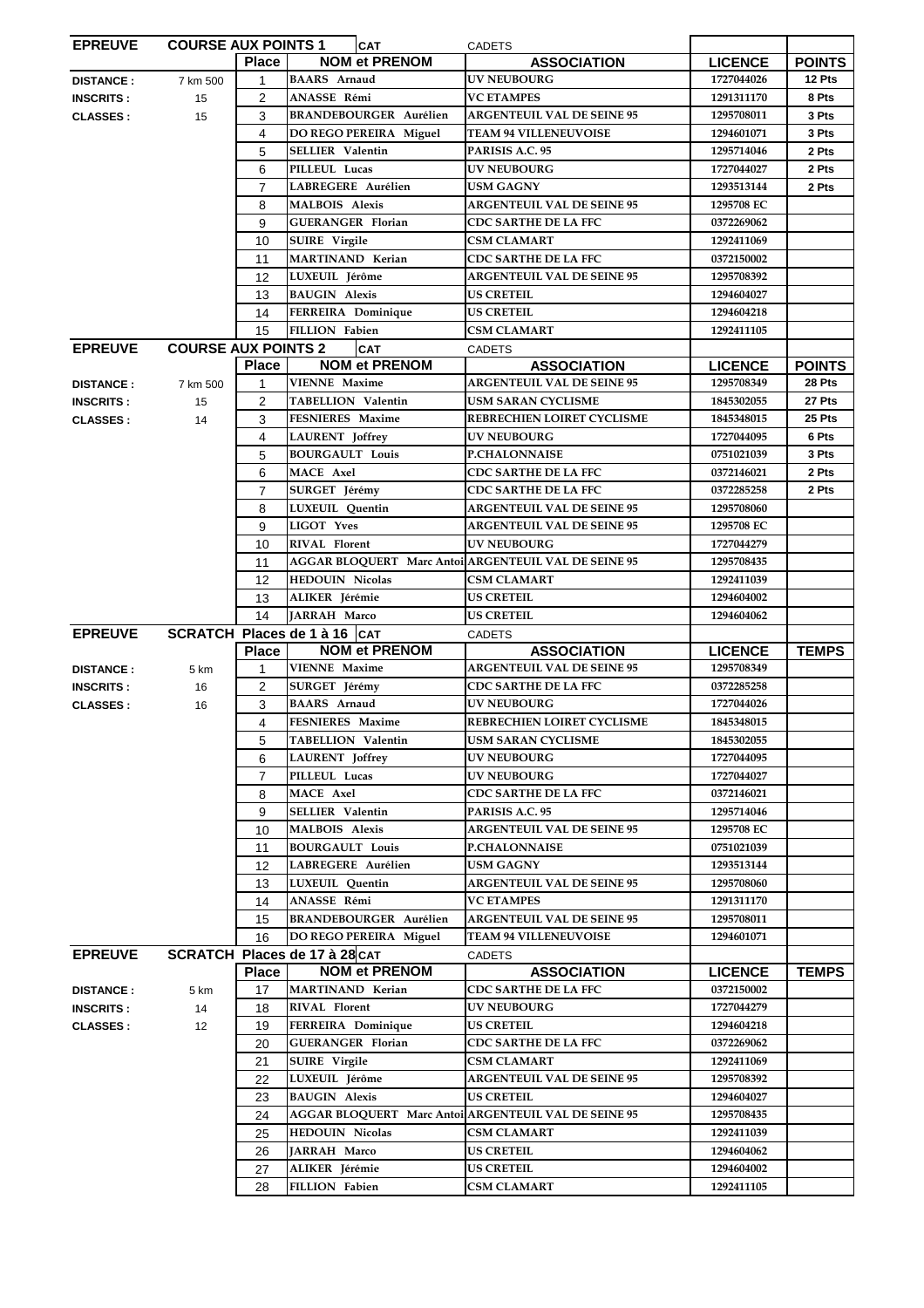| <b>EPREUVE</b>   | <b>COURSE AUX POINTS 1</b> |                | <b>CAT</b>                                           | <b>CADETS</b>                                        |                |               |
|------------------|----------------------------|----------------|------------------------------------------------------|------------------------------------------------------|----------------|---------------|
|                  |                            | <b>Place</b>   | <b>NOM et PRENOM</b>                                 | <b>ASSOCIATION</b>                                   | <b>LICENCE</b> | <b>POINTS</b> |
| <b>DISTANCE:</b> | 7 km 500                   | $\mathbf 1$    | <b>BAARS</b> Arnaud                                  | <b>UV NEUBOURG</b>                                   | 1727044026     | 12 Pts        |
| <b>INSCRITS:</b> | 15                         | $\overline{2}$ | ANASSE Rémi                                          | <b>VC ETAMPES</b>                                    | 1291311170     | 8 Pts         |
|                  |                            |                |                                                      |                                                      |                |               |
| <b>CLASSES:</b>  | 15                         | 3              | <b>BRANDEBOURGER Aurélien</b>                        | <b>ARGENTEUIL VAL DE SEINE 95</b>                    | 1295708011     | 3 Pts         |
|                  |                            | 4              | DO REGO PEREIRA Miguel                               | <b>TEAM 94 VILLENEUVOISE</b>                         | 1294601071     | 3 Pts         |
|                  |                            | 5              | <b>SELLIER Valentin</b>                              | PARISIS A.C. 95                                      | 1295714046     | 2 Pts         |
|                  |                            | 6              | PILLEUL Lucas                                        | <b>UV NEUBOURG</b>                                   | 1727044027     | 2 Pts         |
|                  |                            | $\overline{7}$ | LABREGERE Aurélien                                   | <b>USM GAGNY</b>                                     | 1293513144     | 2 Pts         |
|                  |                            | 8              | <b>MALBOIS Alexis</b>                                | <b>ARGENTEUIL VAL DE SEINE 95</b>                    | 1295708 EC     |               |
|                  |                            |                | <b>GUERANGER Florian</b>                             | <b>CDC SARTHE DE LA FFC</b>                          | 0372269062     |               |
|                  |                            | 9              |                                                      |                                                      |                |               |
|                  |                            | 10             | <b>SUIRE</b> Virgile                                 | <b>CSM CLAMART</b>                                   | 1292411069     |               |
|                  |                            | 11             | MARTINAND Kerian                                     | <b>CDC SARTHE DE LA FFC</b>                          | 0372150002     |               |
|                  |                            | 12             | LUXEUIL Jérôme                                       | <b>ARGENTEUIL VAL DE SEINE 95</b>                    | 1295708392     |               |
|                  |                            | 13             | <b>BAUGIN Alexis</b>                                 | <b>US CRETEIL</b>                                    | 1294604027     |               |
|                  |                            | 14             | FERREIRA Dominique                                   | <b>US CRETEIL</b>                                    | 1294604218     |               |
|                  |                            | 15             | FILLION Fabien                                       | <b>CSM CLAMART</b>                                   | 1292411105     |               |
| <b>EPREUVE</b>   | <b>COURSE AUX POINTS 2</b> |                |                                                      |                                                      |                |               |
|                  |                            |                | <b>CAT</b>                                           | <b>CADETS</b>                                        |                |               |
|                  |                            | <b>Place</b>   | <b>NOM et PRENOM</b>                                 | <b>ASSOCIATION</b>                                   | <b>LICENCE</b> | <b>POINTS</b> |
| <b>DISTANCE:</b> | 7 km 500                   | 1              | <b>VIENNE Maxime</b>                                 | <b>ARGENTEUIL VAL DE SEINE 95</b>                    | 1295708349     | 28 Pts        |
| <b>INSCRITS:</b> | 15                         | 2              | <b>TABELLION Valentin</b>                            | <b>USM SARAN CYCLISME</b>                            | 1845302055     | 27 Pts        |
| <b>CLASSES:</b>  | 14                         | 3              | FESNIERES Maxime                                     | REBRECHIEN LOIRET CYCLISME                           | 1845348015     | 25 Pts        |
|                  |                            | 4              | LAURENT Joffrey                                      | <b>UV NEUBOURG</b>                                   | 1727044095     | 6 Pts         |
|                  |                            | 5              | <b>BOURGAULT Louis</b>                               | <b>P.CHALONNAISE</b>                                 | 0751021039     | 3 Pts         |
|                  |                            |                |                                                      |                                                      |                |               |
|                  |                            | 6              | <b>MACE Axel</b>                                     | <b>CDC SARTHE DE LA FFC</b>                          | 0372146021     | 2 Pts         |
|                  |                            | $\overline{7}$ | SURGET Jérémy                                        | <b>CDC SARTHE DE LA FFC</b>                          | 0372285258     | 2 Pts         |
|                  |                            | 8              | LUXEUIL Quentin                                      | <b>ARGENTEUIL VAL DE SEINE 95</b>                    | 1295708060     |               |
|                  |                            | 9              | <b>LIGOT Yves</b>                                    | <b>ARGENTEUIL VAL DE SEINE 95</b>                    | 1295708 EC     |               |
|                  |                            | 10             | RIVAL Florent                                        | <b>UV NEUBOURG</b>                                   | 1727044279     |               |
|                  |                            | 11             | AGGAR BLOQUERT Marc Antoi ARGENTEUIL VAL DE SEINE 95 |                                                      | 1295708435     |               |
|                  |                            | 12             | <b>HEDOUIN Nicolas</b>                               | <b>CSM CLAMART</b>                                   | 1292411039     |               |
|                  |                            |                |                                                      |                                                      |                |               |
|                  |                            | 13             | ALIKER Jérémie                                       | <b>US CRETEIL</b>                                    | 1294604002     |               |
|                  |                            |                |                                                      |                                                      |                |               |
|                  |                            | 14             | JARRAH Marco                                         | <b>US CRETEIL</b>                                    | 1294604062     |               |
| <b>EPREUVE</b>   |                            |                | SCRATCH Places de 1 à 16   CAT                       | <b>CADETS</b>                                        |                |               |
|                  |                            | <b>Place</b>   | <b>NOM et PRENOM</b>                                 | <b>ASSOCIATION</b>                                   | <b>LICENCE</b> | <b>TEMPS</b>  |
|                  |                            | $\mathbf{1}$   | <b>VIENNE Maxime</b>                                 | <b>ARGENTEUIL VAL DE SEINE 95</b>                    | 1295708349     |               |
| <b>DISTANCE:</b> | 5 km                       |                |                                                      |                                                      |                |               |
| <b>INSCRITS:</b> | 16                         | $\overline{2}$ | SURGET Jérémy                                        | <b>CDC SARTHE DE LA FFC</b>                          | 0372285258     |               |
| <b>CLASSES:</b>  | 16                         | 3              | <b>BAARS</b> Arnaud                                  | <b>UV NEUBOURG</b>                                   | 1727044026     |               |
|                  |                            | 4              | FESNIERES Maxime                                     | REBRECHIEN LOIRET CYCLISME                           | 1845348015     |               |
|                  |                            | 5              | <b>TABELLION Valentin</b>                            | <b>USM SARAN CYCLISME</b>                            | 1845302055     |               |
|                  |                            | 6              | <b>LAURENT</b> Joffrey                               | <b>UV NEUBOURG</b>                                   | 1727044095     |               |
|                  |                            | $\overline{7}$ | PILLEUL Lucas                                        | <b>UV NEUBOURG</b>                                   | 1727044027     |               |
|                  |                            |                | MACE Axel                                            | <b>CDC SARTHE DE LA FFC</b>                          | 0372146021     |               |
|                  |                            | 8              |                                                      |                                                      |                |               |
|                  |                            | 9              | SELLIER Valentin                                     | PARISIS A.C. 95                                      | 1295714046     |               |
|                  |                            | 10             | <b>MALBOIS Alexis</b>                                | <b>ARGENTEUIL VAL DE SEINE 95</b>                    | 1295708 EC     |               |
|                  |                            | 11             | <b>BOURGAULT Louis</b>                               | <b>P.CHALONNAISE</b>                                 | 0751021039     |               |
|                  |                            | 12             | LABREGERE Aurélien                                   | <b>USM GAGNY</b>                                     | 1293513144     |               |
|                  |                            | 13             | LUXEUIL Quentin                                      | <b>ARGENTEUIL VAL DE SEINE 95</b>                    | 1295708060     |               |
|                  |                            | 14             | ANASSE Rémi                                          | <b>VC ETAMPES</b>                                    | 1291311170     |               |
|                  |                            | 15             | <b>BRANDEBOURGER Aurélien</b>                        | <b>ARGENTEUIL VAL DE SEINE 95</b>                    | 1295708011     |               |
|                  |                            |                |                                                      |                                                      |                |               |
|                  |                            | 16             | DO REGO PEREIRA Miguel                               | <b>TEAM 94 VILLENEUVOISE</b>                         | 1294601071     |               |
| <b>EPREUVE</b>   |                            |                | SCRATCH Places de 17 à 28 CAT                        | <b>CADETS</b>                                        |                |               |
|                  |                            | <b>Place</b>   | <b>NOM et PRENOM</b>                                 | <b>ASSOCIATION</b>                                   | <b>LICENCE</b> | <b>TEMPS</b>  |
| <b>DISTANCE:</b> | 5 km                       | 17             | MARTINAND Kerian                                     | CDC SARTHE DE LA FFC                                 | 0372150002     |               |
| <b>INSCRITS:</b> | 14                         | 18             | RIVAL Florent                                        | <b>UV NEUBOURG</b>                                   | 1727044279     |               |
| <b>CLASSES:</b>  | 12                         | 19             | FERREIRA Dominique                                   | <b>US CRETEIL</b>                                    | 1294604218     |               |
|                  |                            | 20             | <b>GUERANGER Florian</b>                             | <b>CDC SARTHE DE LA FFC</b>                          | 0372269062     |               |
|                  |                            |                | <b>SUIRE</b> Virgile                                 | <b>CSM CLAMART</b>                                   | 1292411069     |               |
|                  |                            | 21             |                                                      |                                                      |                |               |
|                  |                            | 22             | LUXEUIL Jérôme                                       | <b>ARGENTEUIL VAL DE SEINE 95</b>                    | 1295708392     |               |
|                  |                            | 23             | <b>BAUGIN Alexis</b>                                 | <b>US CRETEIL</b>                                    | 1294604027     |               |
|                  |                            | 24             |                                                      | AGGAR BLOQUERT Marc Antoi ARGENTEUIL VAL DE SEINE 95 | 1295708435     |               |
|                  |                            | 25             | <b>HEDOUIN Nicolas</b>                               | <b>CSM CLAMART</b>                                   | 1292411039     |               |
|                  |                            | 26             | JARRAH Marco                                         | <b>US CRETEIL</b>                                    | 1294604062     |               |
|                  |                            | 27             | ALIKER Jérémie                                       | <b>US CRETEIL</b>                                    | 1294604002     |               |
|                  |                            | 28             | FILLION Fabien                                       | <b>CSM CLAMART</b>                                   | 1292411105     |               |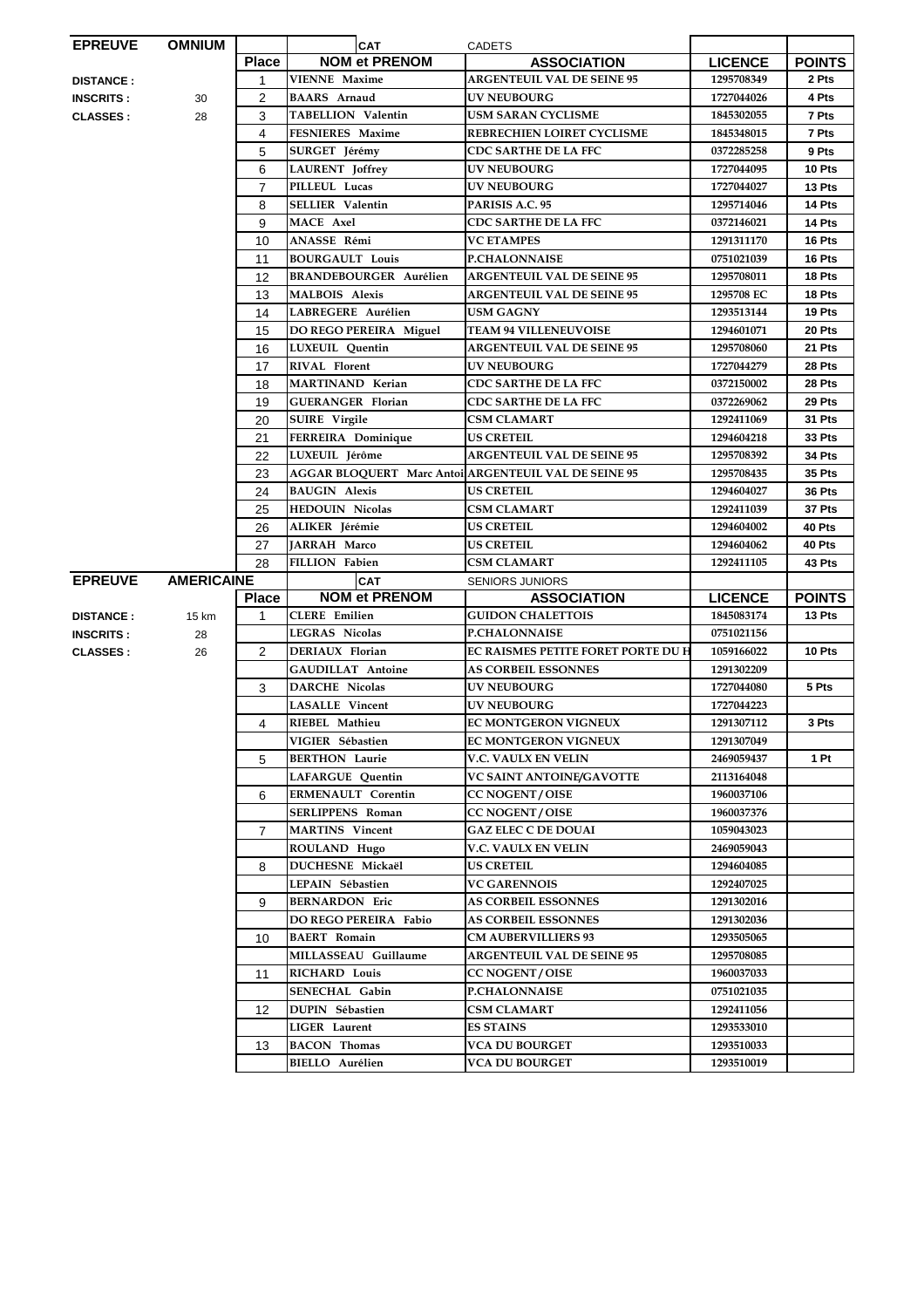| <b>EPREUVE</b>   | <b>OMNIUM</b>     |                | <b>CAT</b>                    | <b>CADETS</b>                                        |                |               |
|------------------|-------------------|----------------|-------------------------------|------------------------------------------------------|----------------|---------------|
|                  |                   | <b>Place</b>   | <b>NOM et PRENOM</b>          | <b>ASSOCIATION</b>                                   | <b>LICENCE</b> | <b>POINTS</b> |
| <b>DISTANCE:</b> |                   | 1              | <b>VIENNE Maxime</b>          | <b>ARGENTEUIL VAL DE SEINE 95</b>                    | 1295708349     | 2 Pts         |
| <b>INSCRITS:</b> | 30                | 2              | <b>BAARS</b> Arnaud           | <b>UV NEUBOURG</b>                                   | 1727044026     | 4 Pts         |
| <b>CLASSES:</b>  | 28                | 3              | <b>TABELLION Valentin</b>     | <b>USM SARAN CYCLISME</b>                            | 1845302055     | 7 Pts         |
|                  |                   | 4              | FESNIERES Maxime              | REBRECHIEN LOIRET CYCLISME                           | 1845348015     | 7 Pts         |
|                  |                   | 5              | SURGET Jérémy                 | <b>CDC SARTHE DE LA FFC</b>                          | 0372285258     | 9 Pts         |
|                  |                   | 6              | <b>LAURENT</b> Joffrey        | <b>UV NEUBOURG</b>                                   | 1727044095     | 10 Pts        |
|                  |                   | $\overline{7}$ | PILLEUL Lucas                 | <b>UV NEUBOURG</b>                                   | 1727044027     | 13 Pts        |
|                  |                   | 8              | <b>SELLIER Valentin</b>       | PARISIS A.C. 95                                      | 1295714046     | 14 Pts        |
|                  |                   | 9              | <b>MACE Axel</b>              | <b>CDC SARTHE DE LA FFC</b>                          | 0372146021     | 14 Pts        |
|                  |                   | 10             | ANASSE Rémi                   | <b>VC ETAMPES</b>                                    | 1291311170     | 16 Pts        |
|                  |                   | 11             | <b>BOURGAULT Louis</b>        | <b>P.CHALONNAISE</b>                                 | 0751021039     | 16 Pts        |
|                  |                   | 12             | <b>BRANDEBOURGER Aurélien</b> | <b>ARGENTEUIL VAL DE SEINE 95</b>                    | 1295708011     | 18 Pts        |
|                  |                   | 13             | <b>MALBOIS Alexis</b>         | <b>ARGENTEUIL VAL DE SEINE 95</b>                    | 1295708 EC     | 18 Pts        |
|                  |                   | 14             | LABREGERE Aurélien            | <b>USM GAGNY</b>                                     | 1293513144     | 19 Pts        |
|                  |                   | 15             | DO REGO PEREIRA Miguel        | <b>TEAM 94 VILLENEUVOISE</b>                         | 1294601071     | 20 Pts        |
|                  |                   | 16             | LUXEUIL Quentin               | <b>ARGENTEUIL VAL DE SEINE 95</b>                    | 1295708060     | 21 Pts        |
|                  |                   | 17             | <b>RIVAL Florent</b>          | <b>UV NEUBOURG</b>                                   | 1727044279     | 28 Pts        |
|                  |                   | 18             | <b>MARTINAND Kerian</b>       | <b>CDC SARTHE DE LA FFC</b>                          | 0372150002     | 28 Pts        |
|                  |                   | 19             | <b>GUERANGER Florian</b>      | <b>CDC SARTHE DE LA FFC</b>                          | 0372269062     | 29 Pts        |
|                  |                   | 20             | <b>SUIRE</b> Virgile          | <b>CSM CLAMART</b>                                   | 1292411069     | 31 Pts        |
|                  |                   | 21             | FERREIRA Dominique            | <b>US CRETEIL</b>                                    | 1294604218     | 33 Pts        |
|                  |                   | 22             | LUXEUIL Jérôme                | <b>ARGENTEUIL VAL DE SEINE 95</b>                    | 1295708392     | 34 Pts        |
|                  |                   | 23             |                               | AGGAR BLOQUERT Marc Antoi ARGENTEUIL VAL DE SEINE 95 | 1295708435     | 35 Pts        |
|                  |                   | 24             | <b>BAUGIN Alexis</b>          | <b>US CRETEIL</b>                                    | 1294604027     | 36 Pts        |
|                  |                   | 25             | <b>HEDOUIN Nicolas</b>        | <b>CSM CLAMART</b>                                   | 1292411039     | 37 Pts        |
|                  |                   | 26             | ALIKER Jérémie                | <b>US CRETEIL</b>                                    | 1294604002     | 40 Pts        |
|                  |                   | 27             | <b>JARRAH Marco</b>           | <b>US CRETEIL</b>                                    | 1294604062     | 40 Pts        |
|                  |                   | 28             | FILLION Fabien                | <b>CSM CLAMART</b>                                   | 1292411105     | 43 Pts        |
| <b>EPREUVE</b>   | <b>AMERICAINE</b> |                | <b>CAT</b>                    | <b>SENIORS JUNIORS</b>                               |                |               |
|                  |                   | <b>Place</b>   | <b>NOM et PRENOM</b>          | <b>ASSOCIATION</b>                                   | <b>LICENCE</b> | <b>POINTS</b> |
| <b>DISTANCE:</b> | 15 km             | $\mathbf{1}$   | <b>CLERE</b> Emilien          | <b>GUIDON CHALETTOIS</b>                             | 1845083174     | 13 Pts        |
| <b>INSCRITS:</b> | 28                |                | <b>LEGRAS Nicolas</b>         | <b>P.CHALONNAISE</b>                                 | 0751021156     |               |
| <b>CLASSES:</b>  | 26                | 2              | DERIAUX Florian               | <b>EC RAISMES PETITE FORET PORTE DU H</b>            | 1059166022     | 10 Pts        |
|                  |                   |                | <b>GAUDILLAT Antoine</b>      | <b>AS CORBEIL ESSONNES</b>                           | 1291302209     |               |
|                  |                   | 3              | <b>DARCHE Nicolas</b>         | <b>UV NEUBOURG</b>                                   | 1727044080     | 5 Pts         |
|                  |                   |                | <b>LASALLE Vincent</b>        | <b>UV NEUBOURG</b>                                   | 1727044223     |               |
|                  |                   | 4              | RIEBEL Mathieu                | EC MONTGERON VIGNEUX                                 | 1291307112     | 3 Pts         |
|                  |                   |                | VIGIER Sébastien              | EC MONTGERON VIGNEUX                                 | 1291307049     |               |
|                  |                   | 5              | <b>BERTHON Laurie</b>         | V.C. VAULX EN VELIN                                  | 2469059437     | 1 Pt          |
|                  |                   |                | LAFARGUE Quentin              | VC SAINT ANTOINE/GAVOTTE                             | 2113164048     |               |
|                  |                   | 6              | <b>ERMENAULT Corentin</b>     | <b>CC NOGENT/OISE</b>                                | 1960037106     |               |
|                  |                   |                | <b>SERLIPPENS Roman</b>       | <b>CC NOGENT / OISE</b>                              | 1960037376     |               |
|                  |                   | $\overline{7}$ | <b>MARTINS</b> Vincent        | <b>GAZ ELEC C DE DOUAI</b>                           | 1059043023     |               |
|                  |                   |                | ROULAND Hugo                  | <b>V.C. VAULX EN VELIN</b>                           | 2469059043     |               |
|                  |                   | 8              | <b>DUCHESNE Mickaël</b>       | <b>US CRETEIL</b>                                    | 1294604085     |               |
|                  |                   |                | LEPAIN Sébastien              | <b>VC GARENNOIS</b>                                  | 1292407025     |               |
|                  |                   | 9              | <b>BERNARDON Eric</b>         | <b>AS CORBEIL ESSONNES</b>                           | 1291302016     |               |
|                  |                   |                | DO REGO PEREIRA Fabio         | <b>AS CORBEIL ESSONNES</b>                           | 1291302036     |               |
|                  |                   | 10             | <b>BAERT</b> Romain           | <b>CM AUBERVILLIERS 93</b>                           | 1293505065     |               |
|                  |                   |                | MILLASSEAU Guillaume          | <b>ARGENTEUIL VAL DE SEINE 95</b>                    | 1295708085     |               |
|                  |                   | 11             | <b>RICHARD Louis</b>          | <b>CC NOGENT / OISE</b>                              | 1960037033     |               |
|                  |                   |                | <b>SENECHAL Gabin</b>         | <b>P.CHALONNAISE</b>                                 | 0751021035     |               |
|                  |                   | 12             | DUPIN Sébastien               | <b>CSM CLAMART</b>                                   | 1292411056     |               |
|                  |                   |                | <b>LIGER</b> Laurent          | <b>ES STAINS</b>                                     | 1293533010     |               |
|                  |                   | 13             | <b>BACON</b> Thomas           | <b>VCA DU BOURGET</b>                                | 1293510033     |               |
|                  |                   |                | <b>BIELLO</b> Aurélien        | VCA DU BOURGET                                       | 1293510019     |               |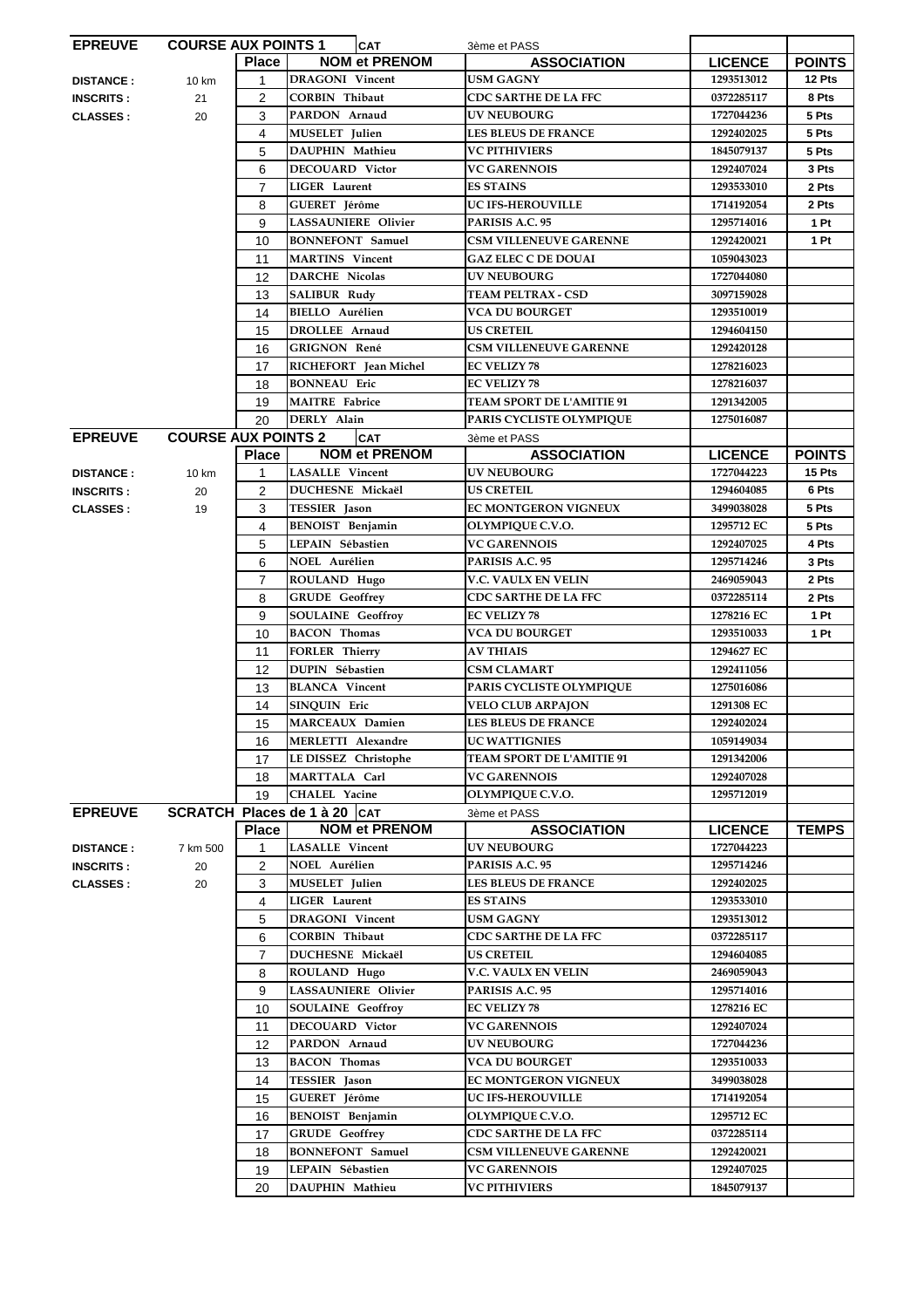| <b>EPREUVE</b>   | <b>COURSE AUX POINTS 1</b> |                | <b>CAT</b>                    | 3ème et PASS                     |                |               |
|------------------|----------------------------|----------------|-------------------------------|----------------------------------|----------------|---------------|
|                  |                            | <b>Place</b>   | <b>NOM et PRENOM</b>          | <b>ASSOCIATION</b>               | <b>LICENCE</b> | <b>POINTS</b> |
| <b>DISTANCE:</b> | 10 km                      | $\mathbf{1}$   | <b>DRAGONI</b> Vincent        | <b>USM GAGNY</b>                 | 1293513012     | 12 Pts        |
| <b>INSCRITS:</b> | 21                         | $\overline{2}$ | <b>CORBIN Thibaut</b>         | <b>CDC SARTHE DE LA FFC</b>      | 0372285117     | 8 Pts         |
|                  |                            |                | PARDON Arnaud                 |                                  |                |               |
| <b>CLASSES:</b>  | 20                         | 3              |                               | <b>UV NEUBOURG</b>               | 1727044236     | 5 Pts         |
|                  |                            | 4              | <b>MUSELET</b> Julien         | <b>LES BLEUS DE FRANCE</b>       | 1292402025     | 5 Pts         |
|                  |                            | 5              | DAUPHIN Mathieu               | <b>VC PITHIVIERS</b>             | 1845079137     | 5 Pts         |
|                  |                            | 6              | <b>DECOUARD Victor</b>        | <b>VC GARENNOIS</b>              | 1292407024     | 3 Pts         |
|                  |                            | $\overline{7}$ | <b>LIGER</b> Laurent          | <b>ES STAINS</b>                 | 1293533010     | 2 Pts         |
|                  |                            | 8              | <b>GUERET</b> Jérôme          | <b>UC IFS-HEROUVILLE</b>         | 1714192054     | 2 Pts         |
|                  |                            | 9              | <b>LASSAUNIERE Olivier</b>    | PARISIS A.C. 95                  | 1295714016     | 1 Pt          |
|                  |                            |                |                               |                                  |                |               |
|                  |                            | 10             | <b>BONNEFONT</b> Samuel       | <b>CSM VILLENEUVE GARENNE</b>    | 1292420021     | 1 Pt          |
|                  |                            | 11             | <b>MARTINS</b> Vincent        | <b>GAZ ELEC C DE DOUAI</b>       | 1059043023     |               |
|                  |                            | 12             | <b>DARCHE Nicolas</b>         | <b>UV NEUBOURG</b>               | 1727044080     |               |
|                  |                            | 13             | <b>SALIBUR Rudy</b>           | <b>TEAM PELTRAX - CSD</b>        | 3097159028     |               |
|                  |                            | 14             | <b>BIELLO</b> Aurélien        | VCA DU BOURGET                   | 1293510019     |               |
|                  |                            | 15             | <b>DROLLEE</b> Arnaud         | <b>US CRETEIL</b>                | 1294604150     |               |
|                  |                            |                |                               |                                  |                |               |
|                  |                            | 16             | GRIGNON René                  | <b>CSM VILLENEUVE GARENNE</b>    | 1292420128     |               |
|                  |                            | 17             | RICHEFORT Jean Michel         | EC VELIZY 78                     | 1278216023     |               |
|                  |                            | 18             | <b>BONNEAU Eric</b>           | <b>EC VELIZY 78</b>              | 1278216037     |               |
|                  |                            | 19             | <b>MAITRE</b> Fabrice         | <b>TEAM SPORT DE L'AMITIE 91</b> | 1291342005     |               |
|                  |                            | 20             | DERLY Alain                   | PARIS CYCLISTE OLYMPIQUE         | 1275016087     |               |
| <b>EPREUVE</b>   | <b>COURSE AUX POINTS 2</b> |                | <b>CAT</b>                    | 3ème et PASS                     |                |               |
|                  |                            | <b>Place</b>   | <b>NOM et PRENOM</b>          | <b>ASSOCIATION</b>               | <b>LICENCE</b> | <b>POINTS</b> |
|                  |                            |                |                               |                                  |                |               |
| <b>DISTANCE:</b> | 10 km                      | 1              | <b>LASALLE</b> Vincent        | <b>UV NEUBOURG</b>               | 1727044223     | 15 Pts        |
| <b>INSCRITS:</b> | 20                         | $\overline{2}$ | DUCHESNE Mickaël              | US CRETEIL                       | 1294604085     | 6 Pts         |
| <b>CLASSES:</b>  | 19                         | 3              | <b>TESSIER</b> Jason          | EC MONTGERON VIGNEUX             | 3499038028     | 5 Pts         |
|                  |                            | 4              | <b>BENOIST</b> Benjamin       | OLYMPIQUE C.V.O.                 | 1295712 EC     | 5 Pts         |
|                  |                            | 5              | LEPAIN Sébastien              | <b>VC GARENNOIS</b>              | 1292407025     | 4 Pts         |
|                  |                            | 6              | <b>NOEL Aurélien</b>          | PARISIS A.C. 95                  | 1295714246     | 3 Pts         |
|                  |                            | $\overline{7}$ | ROULAND Hugo                  | V.C. VAULX EN VELIN              | 2469059043     | 2 Pts         |
|                  |                            |                |                               |                                  |                |               |
|                  |                            | 8              | <b>GRUDE</b> Geoffrey         | <b>CDC SARTHE DE LA FFC</b>      | 0372285114     | 2 Pts         |
|                  |                            | 9              | <b>SOULAINE Geoffroy</b>      | <b>EC VELIZY 78</b>              | 1278216 EC     | 1 Pt          |
|                  |                            | 10             | <b>BACON Thomas</b>           | <b>VCA DU BOURGET</b>            | 1293510033     | 1 Pt          |
|                  |                            | 11             | <b>FORLER Thierry</b>         | <b>AV THIAIS</b>                 | 1294627 EC     |               |
|                  |                            | 12             | <b>DUPIN Sébastien</b>        | <b>CSM CLAMART</b>               | 1292411056     |               |
|                  |                            | 13             | <b>BLANCA</b> Vincent         | PARIS CYCLISTE OLYMPIQUE         | 1275016086     |               |
|                  |                            |                |                               |                                  |                |               |
|                  |                            | 14             | SINQUIN Eric                  | <b>VELO CLUB ARPAJON</b>         | 1291308 EC     |               |
|                  |                            | 15             | <b>MARCEAUX Damien</b>        | <b>LES BLEUS DE FRANCE</b>       | 1292402024     |               |
|                  |                            | 16             | MERLETTI Alexandre            | UC WATTIGNIES                    | 1059149034     |               |
|                  |                            | 17             | LE DISSEZ Christophe          | TEAM SPORT DE L'AMITIE 91        | 1291342006     |               |
|                  |                            | 18             | MARTTALA Carl                 | <b>VC GARENNOIS</b>              | 1292407028     |               |
|                  |                            | 19             | CHALEL Yacine                 | <b>OLYMPIQUE C.V.O.</b>          | 1295712019     |               |
| <b>EPREUVE</b>   |                            |                | SCRATCH Places de 1 à 20  CAT |                                  |                |               |
|                  |                            |                |                               | 3ème et PASS                     |                |               |
|                  |                            | <b>Place</b>   | <b>NOM et PRENOM</b>          | <b>ASSOCIATION</b>               | <b>LICENCE</b> | <b>TEMPS</b>  |
| <b>DISTANCE:</b> | 7 km 500                   | 1              | <b>LASALLE Vincent</b>        | <b>UV NEUBOURG</b>               | 1727044223     |               |
| <b>INSCRITS:</b> | 20                         | 2              | NOEL Aurélien                 | PARISIS A.C. 95                  | 1295714246     |               |
| <b>CLASSES:</b>  | 20                         | 3              | <b>MUSELET</b> Julien         | <b>LES BLEUS DE FRANCE</b>       | 1292402025     |               |
|                  |                            | 4              | LIGER Laurent                 | <b>ES STAINS</b>                 | 1293533010     |               |
|                  |                            | 5              | <b>DRAGONI</b> Vincent        | USM GAGNY                        | 1293513012     |               |
|                  |                            | 6              | <b>CORBIN Thibaut</b>         | <b>CDC SARTHE DE LA FFC</b>      | 0372285117     |               |
|                  |                            |                |                               |                                  |                |               |
|                  |                            | $\overline{7}$ | DUCHESNE Mickaël              | <b>US CRETEIL</b>                | 1294604085     |               |
|                  |                            | 8              | ROULAND Hugo                  | V.C. VAULX EN VELIN              | 2469059043     |               |
|                  |                            | 9              | <b>LASSAUNIERE</b> Olivier    | PARISIS A.C. 95                  | 1295714016     |               |
|                  |                            | 10             | <b>SOULAINE Geoffroy</b>      | <b>EC VELIZY 78</b>              | 1278216 EC     |               |
|                  |                            | 11             | <b>DECOUARD Victor</b>        | <b>VC GARENNOIS</b>              | 1292407024     |               |
|                  |                            | 12             | PARDON Arnaud                 | UV NEUBOURG                      | 1727044236     |               |
|                  |                            | 13             | <b>BACON Thomas</b>           | <b>VCA DU BOURGET</b>            | 1293510033     |               |
|                  |                            |                |                               |                                  |                |               |
|                  |                            | 14             | <b>TESSIER</b> Jason          | EC MONTGERON VIGNEUX             | 3499038028     |               |
|                  |                            | 15             | <b>GUERET</b> Jérôme          | UC IFS-HEROUVILLE                | 1714192054     |               |
|                  |                            | 16             | <b>BENOIST</b> Benjamin       | OLYMPIQUE C.V.O.                 | 1295712 EC     |               |
|                  |                            | 17             | <b>GRUDE</b> Geoffrey         | <b>CDC SARTHE DE LA FFC</b>      | 0372285114     |               |
|                  |                            | 18             | <b>BONNEFONT</b> Samuel       | <b>CSM VILLENEUVE GARENNE</b>    | 1292420021     |               |
|                  |                            | 19             | LEPAIN Sébastien              | <b>VC GARENNOIS</b>              | 1292407025     |               |
|                  |                            | 20             | DAUPHIN Mathieu               | <b>VC PITHIVIERS</b>             | 1845079137     |               |
|                  |                            |                |                               |                                  |                |               |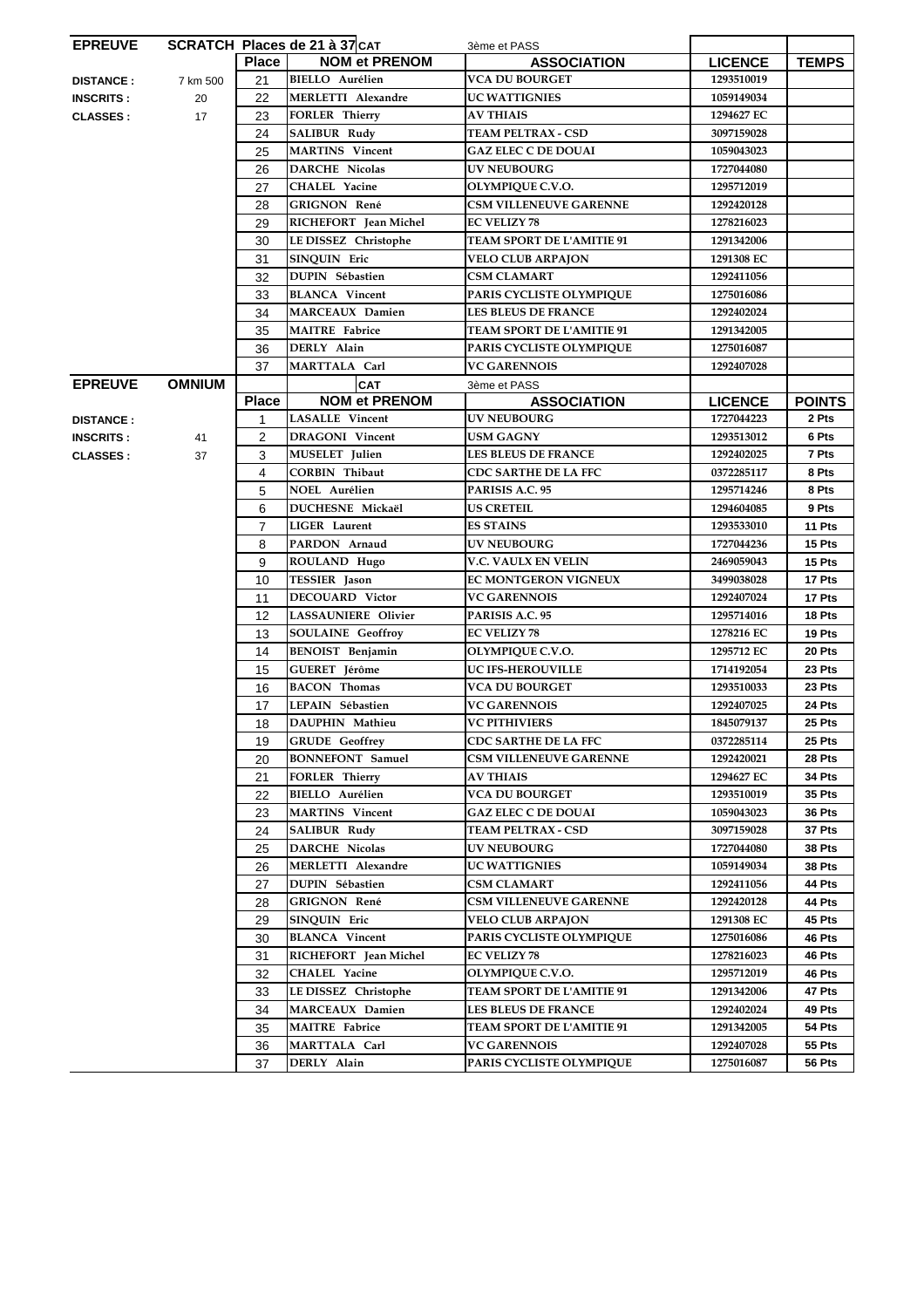| <b>EPREUVE</b>   |               |                | SCRATCH Places de 21 à 37 CAT | 3ème et PASS                     |                |               |
|------------------|---------------|----------------|-------------------------------|----------------------------------|----------------|---------------|
|                  |               | <b>Place</b>   | <b>NOM et PRENOM</b>          | <b>ASSOCIATION</b>               | <b>LICENCE</b> | <b>TEMPS</b>  |
| <b>DISTANCE:</b> | 7 km 500      | 21             | <b>BIELLO</b> Aurélien        | <b>VCA DU BOURGET</b>            | 1293510019     |               |
| <b>INSCRITS:</b> | 20            | 22             | <b>MERLETTI Alexandre</b>     | <b>UC WATTIGNIES</b>             | 1059149034     |               |
| <b>CLASSES:</b>  | 17            | 23             | <b>FORLER Thierry</b>         | <b>AV THIAIS</b>                 | 1294627 EC     |               |
|                  |               | 24             | <b>SALIBUR Rudy</b>           | <b>TEAM PELTRAX - CSD</b>        | 3097159028     |               |
|                  |               | 25             | <b>MARTINS</b> Vincent        | <b>GAZ ELEC C DE DOUAI</b>       | 1059043023     |               |
|                  |               | 26             | <b>DARCHE Nicolas</b>         | <b>UV NEUBOURG</b>               | 1727044080     |               |
|                  |               | 27             | CHALEL Yacine                 | OLYMPIQUE C.V.O.                 | 1295712019     |               |
|                  |               | 28             | <b>GRIGNON René</b>           | <b>CSM VILLENEUVE GARENNE</b>    | 1292420128     |               |
|                  |               | 29             | RICHEFORT Jean Michel         | <b>EC VELIZY 78</b>              | 1278216023     |               |
|                  |               | 30             | LE DISSEZ Christophe          | <b>TEAM SPORT DE L'AMITIE 91</b> | 1291342006     |               |
|                  |               | 31             | <b>SINQUIN Eric</b>           | <b>VELO CLUB ARPAJON</b>         | 1291308 EC     |               |
|                  |               | 32             | <b>DUPIN Sébastien</b>        | <b>CSM CLAMART</b>               | 1292411056     |               |
|                  |               | 33             | <b>BLANCA</b> Vincent         | PARIS CYCLISTE OLYMPIQUE         | 1275016086     |               |
|                  |               | 34             | <b>MARCEAUX Damien</b>        | <b>LES BLEUS DE FRANCE</b>       | 1292402024     |               |
|                  |               | 35             | <b>MAITRE</b> Fabrice         | <b>TEAM SPORT DE L'AMITIE 91</b> | 1291342005     |               |
|                  |               | 36             | DERLY Alain                   | PARIS CYCLISTE OLYMPIQUE         | 1275016087     |               |
|                  |               | 37             | MARTTALA Carl                 | <b>VC GARENNOIS</b>              | 1292407028     |               |
| <b>EPREUVE</b>   | <b>OMNIUM</b> |                | <b>CAT</b>                    | 3ème et PASS                     |                |               |
|                  |               | <b>Place</b>   | <b>NOM et PRENOM</b>          | <b>ASSOCIATION</b>               | <b>LICENCE</b> | <b>POINTS</b> |
| <b>DISTANCE:</b> |               | 1              | <b>LASALLE</b> Vincent        | <b>UV NEUBOURG</b>               | 1727044223     | 2 Pts         |
| <b>INSCRITS:</b> | 41            | $\overline{2}$ | <b>DRAGONI</b> Vincent        | <b>USM GAGNY</b>                 | 1293513012     | 6 Pts         |
| <b>CLASSES:</b>  | 37            | 3              | <b>MUSELET</b> Julien         | <b>LES BLEUS DE FRANCE</b>       | 1292402025     | 7 Pts         |
|                  |               | 4              | <b>CORBIN Thibaut</b>         | CDC SARTHE DE LA FFC             | 0372285117     | 8 Pts         |
|                  |               | 5              | NOEL Aurélien                 | PARISIS A.C. 95                  | 1295714246     | 8 Pts         |
|                  |               | 6              | <b>DUCHESNE Mickaël</b>       | <b>US CRETEIL</b>                | 1294604085     | 9 Pts         |
|                  |               | $\overline{7}$ | <b>LIGER</b> Laurent          | <b>ES STAINS</b>                 | 1293533010     | 11 Pts        |
|                  |               |                |                               | <b>UV NEUBOURG</b>               |                |               |
|                  |               | 8              | PARDON Arnaud                 |                                  | 1727044236     | 15 Pts        |
|                  |               | 9              | ROULAND Hugo                  | <b>V.C. VAULX EN VELIN</b>       | 2469059043     | 15 Pts        |
|                  |               | 10             | <b>TESSIER</b> Jason          | <b>EC MONTGERON VIGNEUX</b>      | 3499038028     | 17 Pts        |
|                  |               | 11             | <b>DECOUARD Victor</b>        | <b>VC GARENNOIS</b>              | 1292407024     | 17 Pts        |
|                  |               | 12             | <b>LASSAUNIERE Olivier</b>    | PARISIS A.C. 95                  | 1295714016     | 18 Pts        |
|                  |               | 13             | <b>SOULAINE Geoffroy</b>      | <b>EC VELIZY 78</b>              | 1278216 EC     | 19 Pts        |
|                  |               | 14             | <b>BENOIST</b> Benjamin       | OLYMPIQUE C.V.O.                 | 1295712 EC     | 20 Pts        |
|                  |               | 15             | <b>GUERET</b> Jérôme          | <b>UC IFS-HEROUVILLE</b>         | 1714192054     | 23 Pts        |
|                  |               | 16             | <b>BACON</b> Thomas           | <b>VCA DU BOURGET</b>            | 1293510033     | 23 Pts        |
|                  |               | 17             | LEPAIN Sébastien              | <b>VC GARENNOIS</b>              | 1292407025     | 24 Pts        |
|                  |               | 18             | DAUPHIN Mathieu               | <b>VC PITHIVIERS</b>             | 1845079137     | 25 Pts        |
|                  |               | 19             | <b>GRUDE</b> Geoffrey         | <b>CDC SARTHE DE LA FFC</b>      | 0372285114     | 25 Pts        |
|                  |               | 20             | <b>BONNEFONT</b> Samuel       | <b>CSM VILLENEUVE GARENNE</b>    | 1292420021     | 28 Pts        |
|                  |               | 21             | <b>FORLER Thierry</b>         | <b>AV THIAIS</b>                 | 1294627 EC     | <b>34 Pts</b> |
|                  |               | 22             | <b>BIELLO</b> Aurélien        | <b>VCA DU BOURGET</b>            | 1293510019     | <b>35 Pts</b> |
|                  |               | 23             | <b>MARTINS</b> Vincent        | <b>GAZ ELEC C DE DOUAI</b>       | 1059043023     | 36 Pts        |
|                  |               | 24             | <b>SALIBUR Rudy</b>           | <b>TEAM PELTRAX - CSD</b>        | 3097159028     | 37 Pts        |
|                  |               | 25             | <b>DARCHE Nicolas</b>         | <b>UV NEUBOURG</b>               | 1727044080     | 38 Pts        |
|                  |               | 26             | <b>MERLETTI Alexandre</b>     | <b>UC WATTIGNIES</b>             | 1059149034     | 38 Pts        |
|                  |               | 27             | DUPIN Sébastien               | <b>CSM CLAMART</b>               | 1292411056     | 44 Pts        |
|                  |               | 28             | <b>GRIGNON René</b>           | <b>CSM VILLENEUVE GARENNE</b>    | 1292420128     | 44 Pts        |
|                  |               | 29             | <b>SINQUIN Eric</b>           | <b>VELO CLUB ARPAJON</b>         | 1291308 EC     | 45 Pts        |
|                  |               | 30             | <b>BLANCA</b> Vincent         | PARIS CYCLISTE OLYMPIQUE         | 1275016086     | 46 Pts        |
|                  |               | 31             | RICHEFORT Jean Michel         | <b>EC VELIZY 78</b>              | 1278216023     | 46 Pts        |
|                  |               | 32             | <b>CHALEL Yacine</b>          | OLYMPIQUE C.V.O.                 | 1295712019     | 46 Pts        |
|                  |               | 33             | LE DISSEZ Christophe          | TEAM SPORT DE L'AMITIE 91        | 1291342006     | 47 Pts        |
|                  |               | 34             | <b>MARCEAUX Damien</b>        | <b>LES BLEUS DE FRANCE</b>       | 1292402024     | 49 Pts        |
|                  |               | 35             | <b>MAITRE</b> Fabrice         | TEAM SPORT DE L'AMITIE 91        | 1291342005     | <b>54 Pts</b> |
|                  |               | 36             | MARTTALA Carl                 | <b>VC GARENNOIS</b>              | 1292407028     | <b>55 Pts</b> |
|                  |               | 37             | DERLY Alain                   | PARIS CYCLISTE OLYMPIQUE         | 1275016087     | 56 Pts        |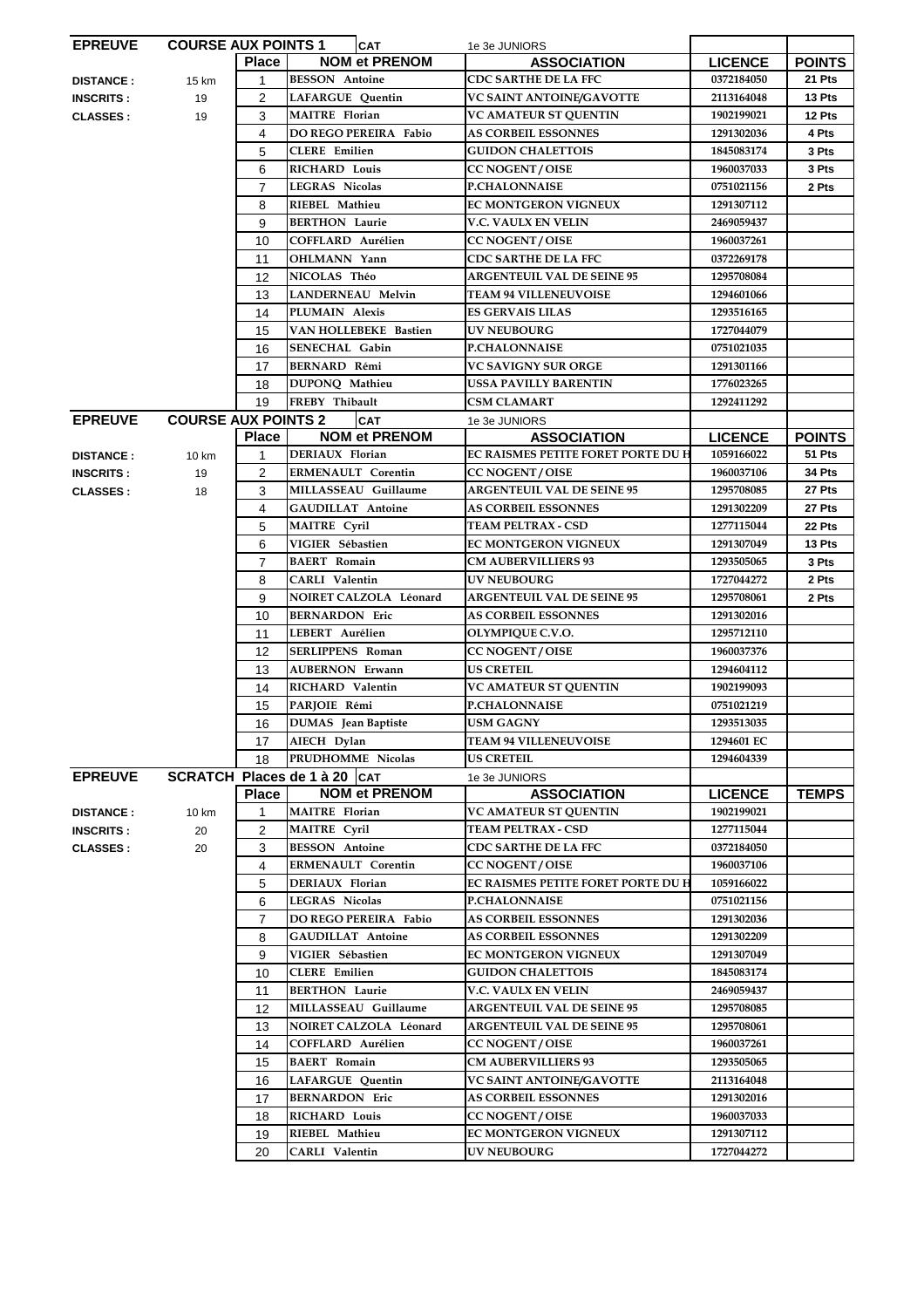| <b>EPREUVE</b>   | <b>COURSE AUX POINTS 1</b> |                | <b>CAT</b>                              | 1e 3e JUNIORS                       |                          |               |
|------------------|----------------------------|----------------|-----------------------------------------|-------------------------------------|--------------------------|---------------|
|                  |                            | <b>Place</b>   | <b>NOM et PRENOM</b>                    | <b>ASSOCIATION</b>                  | <b>LICENCE</b>           | <b>POINTS</b> |
| <b>DISTANCE:</b> | 15 km                      | $\mathbf{1}$   | <b>BESSON</b> Antoine                   | <b>CDC SARTHE DE LA FFC</b>         | 0372184050               | 21 Pts        |
| <b>INSCRITS:</b> | 19                         | $\overline{2}$ | <b>LAFARGUE Quentin</b>                 | VC SAINT ANTOINE/GAVOTTE            | 2113164048               | 13 Pts        |
| <b>CLASSES:</b>  | 19                         | 3              | <b>MAITRE</b> Florian                   | <b>VC AMATEUR ST QUENTIN</b>        | 1902199021               | 12 Pts        |
|                  |                            | 4              | <b>DO REGO PEREIRA Fabio</b>            | <b>AS CORBEIL ESSONNES</b>          | 1291302036               | 4 Pts         |
|                  |                            | 5              | <b>CLERE</b> Emilien                    | <b>GUIDON CHALETTOIS</b>            | 1845083174               | 3 Pts         |
|                  |                            | 6              | <b>RICHARD Louis</b>                    | <b>CC NOGENT / OISE</b>             | 1960037033               | 3 Pts         |
|                  |                            | $\overline{7}$ | <b>LEGRAS Nicolas</b>                   | <b>P.CHALONNAISE</b>                | 0751021156               | 2 Pts         |
|                  |                            | 8              | RIEBEL Mathieu                          | <b>EC MONTGERON VIGNEUX</b>         | 1291307112               |               |
|                  |                            | 9              | <b>BERTHON Laurie</b>                   | V.C. VAULX EN VELIN                 | 2469059437               |               |
|                  |                            | 10             | COFFLARD Aurélien                       | <b>CC NOGENT / OISE</b>             | 1960037261               |               |
|                  |                            | 11             | OHLMANN Yann                            | <b>CDC SARTHE DE LA FFC</b>         | 0372269178               |               |
|                  |                            | 12             | NICOLAS Théo                            | <b>ARGENTEUIL VAL DE SEINE 95</b>   | 1295708084               |               |
|                  |                            | 13             | <b>LANDERNEAU Melvin</b>                | <b>TEAM 94 VILLENEUVOISE</b>        | 1294601066               |               |
|                  |                            | 14             | PLUMAIN Alexis                          | <b>ES GERVAIS LILAS</b>             | 1293516165               |               |
|                  |                            | 15             | <b>VAN HOLLEBEKE Bastien</b>            | <b>UV NEUBOURG</b>                  | 1727044079               |               |
|                  |                            | 16             | <b>SENECHAL Gabin</b>                   | <b>P.CHALONNAISE</b>                | 0751021035               |               |
|                  |                            | 17             | <b>BERNARD Rémi</b>                     | VC SAVIGNY SUR ORGE                 | 1291301166               |               |
|                  |                            | 18             | DUPONO Mathieu                          | USSA PAVILLY BARENTIN               | 1776023265               |               |
|                  |                            | 19             | FREBY Thibault                          | <b>CSM CLAMART</b>                  | 1292411292               |               |
| <b>EPREUVE</b>   | <b>COURSE AUX POINTS 2</b> |                |                                         |                                     |                          |               |
|                  |                            | <b>Place</b>   | <b>CAT</b><br><b>NOM et PRENOM</b>      | 1e 3e JUNIORS<br><b>ASSOCIATION</b> | <b>LICENCE</b>           | <b>POINTS</b> |
| <b>DISTANCE:</b> | 10 km                      | 1              | DERIAUX Florian                         | EC RAISMES PETITE FORET PORTE DU H  | 1059166022               | 51 Pts        |
| <b>INSCRITS:</b> | 19                         | 2              | <b>ERMENAULT Corentin</b>               | <b>CC NOGENT / OISE</b>             | 1960037106               | 34 Pts        |
| <b>CLASSES:</b>  | 18                         | 3              | MILLASSEAU Guillaume                    | <b>ARGENTEUIL VAL DE SEINE 95</b>   | 1295708085               | 27 Pts        |
|                  |                            | 4              | <b>GAUDILLAT Antoine</b>                | <b>AS CORBEIL ESSONNES</b>          | 1291302209               | 27 Pts        |
|                  |                            | 5              | <b>MAITRE Cyril</b>                     | <b>TEAM PELTRAX - CSD</b>           | 1277115044               | 22 Pts        |
|                  |                            |                |                                         |                                     |                          |               |
|                  |                            | 6              | VIGIER Sébastien<br><b>BAERT</b> Romain | <b>EC MONTGERON VIGNEUX</b>         | 1291307049<br>1293505065 | 13 Pts        |
|                  |                            | $\overline{7}$ |                                         | <b>CM AUBERVILLIERS 93</b>          |                          | 3 Pts         |
|                  |                            | 8              | <b>CARLI Valentin</b>                   | <b>UV NEUBOURG</b>                  | 1727044272               | 2 Pts         |
|                  |                            | 9              | NOIRET CALZOLA Léonard                  | <b>ARGENTEUIL VAL DE SEINE 95</b>   | 1295708061               | 2 Pts         |
|                  |                            | 10             | <b>BERNARDON Eric</b>                   | <b>AS CORBEIL ESSONNES</b>          | 1291302016               |               |
|                  |                            | 11             | LEBERT Aurélien                         | OLYMPIQUE C.V.O.                    | 1295712110               |               |
|                  |                            | 12             | <b>SERLIPPENS Roman</b>                 | <b>CC NOGENT / OISE</b>             | 1960037376               |               |
|                  |                            | 13             | <b>AUBERNON Erwann</b>                  | <b>US CRETEIL</b>                   | 1294604112               |               |
|                  |                            | 14             | RICHARD Valentin                        | <b>VC AMATEUR ST QUENTIN</b>        | 1902199093               |               |
|                  |                            | 15             | PARJOIE Rémi                            | <b>P.CHALONNAISE</b>                | 0751021219               |               |
|                  |                            | 16             | DUMAS Jean Baptiste                     | USM GAGNY                           | 1293513035               |               |
|                  |                            | 17             | AIECH Dylan                             | <b>TEAM 94 VILLENEUVOISE</b>        | 1294601 EC               |               |
|                  |                            | 18             | PRUDHOMME Nicolas                       | <b>US CRETEIL</b>                   | 1294604339               |               |
| <b>EPREUVE</b>   |                            |                | SCRATCH Places de 1 à 20   CAT          | 1e 3e JUNIORS                       |                          |               |
|                  |                            | <b>Place</b>   | <b>NOM et PRENOM</b>                    | <b>ASSOCIATION</b>                  | <b>LICENCE</b>           | <b>TEMPS</b>  |
| <b>DISTANCE:</b> | 10 km                      | 1              | <b>MAITRE</b> Florian                   | VC AMATEUR ST QUENTIN               | 1902199021               |               |
| <b>INSCRITS:</b> | 20                         | 2              | <b>MAITRE Cyril</b>                     | <b>TEAM PELTRAX - CSD</b>           | 1277115044               |               |
| <b>CLASSES:</b>  | 20                         | 3              | <b>BESSON</b> Antoine                   | <b>CDC SARTHE DE LA FFC</b>         | 0372184050               |               |
|                  |                            | 4              | <b>ERMENAULT Corentin</b>               | <b>CC NOGENT / OISE</b>             | 1960037106               |               |
|                  |                            | 5              | DERIAUX Florian                         | EC RAISMES PETITE FORET PORTE DU H  | 1059166022               |               |
|                  |                            | 6              | <b>LEGRAS Nicolas</b>                   | <b>P.CHALONNAISE</b>                | 0751021156               |               |
|                  |                            | $\overline{7}$ | DO REGO PEREIRA Fabio                   | <b>AS CORBEIL ESSONNES</b>          | 1291302036               |               |
|                  |                            |                |                                         |                                     |                          |               |
|                  |                            | 8              | <b>GAUDILLAT Antoine</b>                | <b>AS CORBEIL ESSONNES</b>          | 1291302209               |               |
|                  |                            | 9              | VIGIER Sébastien                        | EC MONTGERON VIGNEUX                | 1291307049               |               |
|                  |                            | 10             | <b>CLERE</b> Emilien                    | <b>GUIDON CHALETTOIS</b>            | 1845083174               |               |
|                  |                            | 11             | <b>BERTHON Laurie</b>                   | V.C. VAULX EN VELIN                 | 2469059437               |               |
|                  |                            | 12             | MILLASSEAU Guillaume                    | <b>ARGENTEUIL VAL DE SEINE 95</b>   | 1295708085               |               |
|                  |                            | 13             | NOIRET CALZOLA Léonard                  | <b>ARGENTEUIL VAL DE SEINE 95</b>   | 1295708061               |               |
|                  |                            | 14             | COFFLARD Aurélien                       | <b>CC NOGENT / OISE</b>             | 1960037261               |               |
|                  |                            | 15             | <b>BAERT</b> Romain                     | <b>CM AUBERVILLIERS 93</b>          | 1293505065               |               |
|                  |                            | 16             | <b>LAFARGUE Quentin</b>                 | VC SAINT ANTOINE/GAVOTTE            | 2113164048               |               |
|                  |                            | 17             | <b>BERNARDON Eric</b>                   | <b>AS CORBEIL ESSONNES</b>          | 1291302016               |               |
|                  |                            | 18             | RICHARD Louis                           | <b>CC NOGENT / OISE</b>             | 1960037033               |               |
|                  |                            | 19             | RIEBEL Mathieu                          | <b>EC MONTGERON VIGNEUX</b>         | 1291307112               |               |